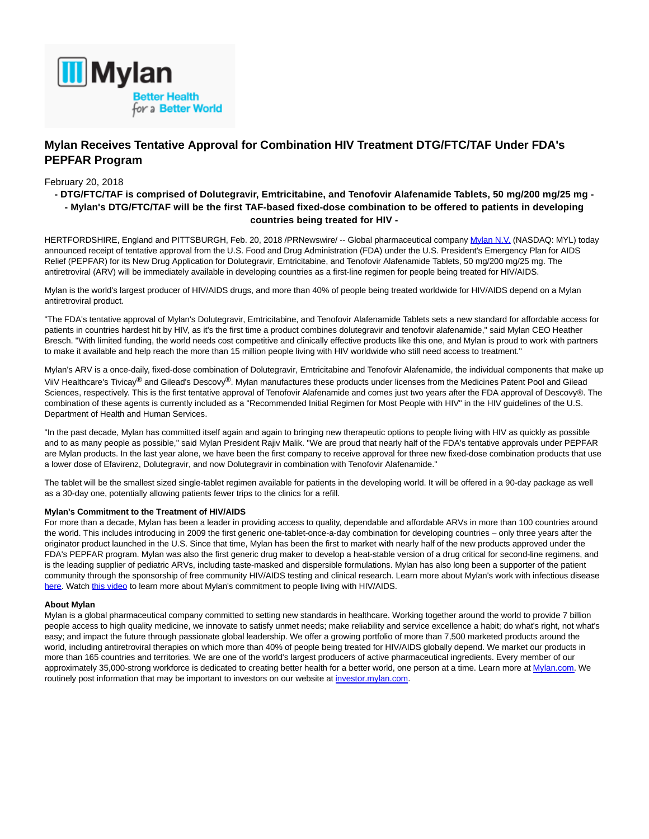

# **Mylan Receives Tentative Approval for Combination HIV Treatment DTG/FTC/TAF Under FDA's PEPFAR Program**

## February 20, 2018

# **- DTG/FTC/TAF is comprised of Dolutegravir, Emtricitabine, and Tenofovir Alafenamide Tablets, 50 mg/200 mg/25 mg - - Mylan's DTG/FTC/TAF will be the first TAF-based fixed-dose combination to be offered to patients in developing countries being treated for HIV -**

HERTFORDSHIRE, England and PITTSBURGH, Feb. 20, 2018 /PRNewswire/ -- Global pharmaceutical company [Mylan N.V. \(](https://mylanbetterhealth.com/#access_to_medicine)NASDAQ: MYL) today announced receipt of tentative approval from the U.S. Food and Drug Administration (FDA) under the U.S. President's Emergency Plan for AIDS Relief (PEPFAR) for its New Drug Application for Dolutegravir, Emtricitabine, and Tenofovir Alafenamide Tablets, 50 mg/200 mg/25 mg. The antiretroviral (ARV) will be immediately available in developing countries as a first-line regimen for people being treated for HIV/AIDS.

Mylan is the world's largest producer of HIV/AIDS drugs, and more than 40% of people being treated worldwide for HIV/AIDS depend on a Mylan antiretroviral product.

"The FDA's tentative approval of Mylan's Dolutegravir, Emtricitabine, and Tenofovir Alafenamide Tablets sets a new standard for affordable access for patients in countries hardest hit by HIV, as it's the first time a product combines dolutegravir and tenofovir alafenamide," said Mylan CEO Heather Bresch. "With limited funding, the world needs cost competitive and clinically effective products like this one, and Mylan is proud to work with partners to make it available and help reach the more than 15 million people living with HIV worldwide who still need access to treatment."

Mylan's ARV is a once-daily, fixed-dose combination of Dolutegravir, Emtricitabine and Tenofovir Alafenamide, the individual components that make up ViiV Healthcare's Tivicay<sup>®</sup> and Gilead's Descovy<sup>®</sup>. Mylan manufactures these products under licenses from the Medicines Patent Pool and Gilead Sciences, respectively. This is the first tentative approval of Tenofovir Alafenamide and comes just two years after the FDA approval of Descovy®. The combination of these agents is currently included as a "Recommended Initial Regimen for Most People with HIV" in the HIV guidelines of the U.S. Department of Health and Human Services.

"In the past decade, Mylan has committed itself again and again to bringing new therapeutic options to people living with HIV as quickly as possible and to as many people as possible," said Mylan President Rajiv Malik. "We are proud that nearly half of the FDA's tentative approvals under PEPFAR are Mylan products. In the last year alone, we have been the first company to receive approval for three new fixed-dose combination products that use a lower dose of Efavirenz, Dolutegravir, and now Dolutegravir in combination with Tenofovir Alafenamide."

The tablet will be the smallest sized single-tablet regimen available for patients in the developing world. It will be offered in a 90-day package as well as a 30-day one, potentially allowing patients fewer trips to the clinics for a refill.

### **Mylan's Commitment to the Treatment of HIV/AIDS**

For more than a decade, Mylan has been a leader in providing access to quality, dependable and affordable ARVs in more than 100 countries around the world. This includes introducing in 2009 the first generic one-tablet-once-a-day combination for developing countries – only three years after the originator product launched in the U.S. Since that time, Mylan has been the first to market with nearly half of the new products approved under the FDA's PEPFAR program. Mylan was also the first generic drug maker to develop a heat-stable version of a drug critical for second-line regimens, and is the leading supplier of pediatric ARVs, including taste-masked and dispersible formulations. Mylan has also long been a supporter of the patient community through the sponsorship of free community HIV/AIDS testing and clinical research. Learn more about Mylan's work with infectious disease [here.](http://newsroom.mylan.com/fact-sheets) Watch [this video t](https://www.youtube.com/watch?v=RiFbPU98AHo)o learn more about Mylan's commitment to people living with HIV/AIDS.

#### **About Mylan**

Mylan is a global pharmaceutical company committed to setting new standards in healthcare. Working together around the world to provide 7 billion people access to high quality medicine, we innovate to satisfy unmet needs; make reliability and service excellence a habit; do what's right, not what's easy; and impact the future through passionate global leadership. We offer a growing portfolio of more than 7,500 marketed products around the world, including antiretroviral therapies on which more than 40% of people being treated for HIV/AIDS globally depend. We market our products in more than 165 countries and territories. We are one of the world's largest producers of active pharmaceutical ingredients. Every member of our approximately 35,000-strong workforce is dedicated to creating better health for a better world, one person at a time. Learn more at [Mylan.com.](http://mylan.com/) We routinely post information that may be important to investors on our website at [investor.mylan.com.](http://investor.mylan.com/)